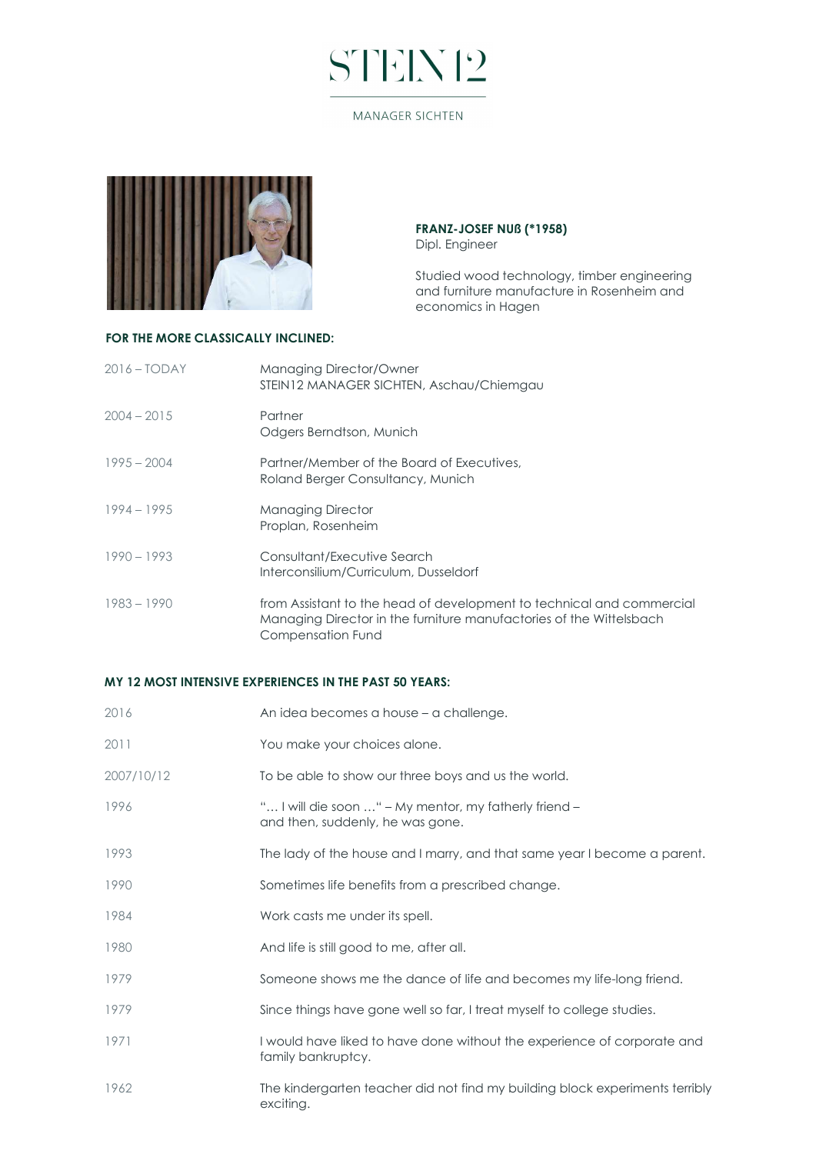## STEN12

#### **MANAGER SICHTEN**



#### FRANZ-JOSEF NUß (\*1958) Dipl. Engineer

Studied wood technology, timber engineering and furniture manufacture in Rosenheim and economics in Hagen

### FOR THE MORE CLASSICALLY INCLINED:

| $2016 - TODAY$ | Managing Director/Owner<br>STEIN12 MANAGER SICHTEN, Aschau/Chiemgau                                                                                               |
|----------------|-------------------------------------------------------------------------------------------------------------------------------------------------------------------|
| $2004 - 2015$  | Partner<br>Odgers Berndtson, Munich                                                                                                                               |
| $1995 - 2004$  | Partner/Member of the Board of Executives,<br>Roland Berger Consultancy, Munich                                                                                   |
| $1994 - 1995$  | <b>Managing Director</b><br>Proplan, Rosenheim                                                                                                                    |
| $1990 - 1993$  | Consultant/Executive Search<br>Interconsilium/Curriculum, Dusseldorf                                                                                              |
| $1983 - 1990$  | from Assistant to the head of development to technical and commercial<br>Managing Director in the furniture manufactories of the Wittelsbach<br>Compensation Fund |

### MY 12 MOST INTENSIVE EXPERIENCES IN THE PAST 50 YEARS:

| 2016       | An idea becomes a house – a challenge.                                                        |
|------------|-----------------------------------------------------------------------------------------------|
| 2011       | You make your choices alone.                                                                  |
| 2007/10/12 | To be able to show our three boys and us the world.                                           |
| 1996       | " I will die soon " – My mentor, my fatherly friend –<br>and then, suddenly, he was gone.     |
| 1993       | The lady of the house and I marry, and that same year I become a parent.                      |
| 1990       | Sometimes life benefits from a prescribed change.                                             |
| 1984       | Work casts me under its spell.                                                                |
| 1980       | And life is still good to me, after all.                                                      |
| 1979       | Someone shows me the dance of life and becomes my life-long friend.                           |
| 1979       | Since things have gone well so far, I treat myself to college studies.                        |
| 1971       | I would have liked to have done without the experience of corporate and<br>family bankruptcy. |
| 1962       | The kindergarten teacher did not find my building block experiments terribly<br>exciting.     |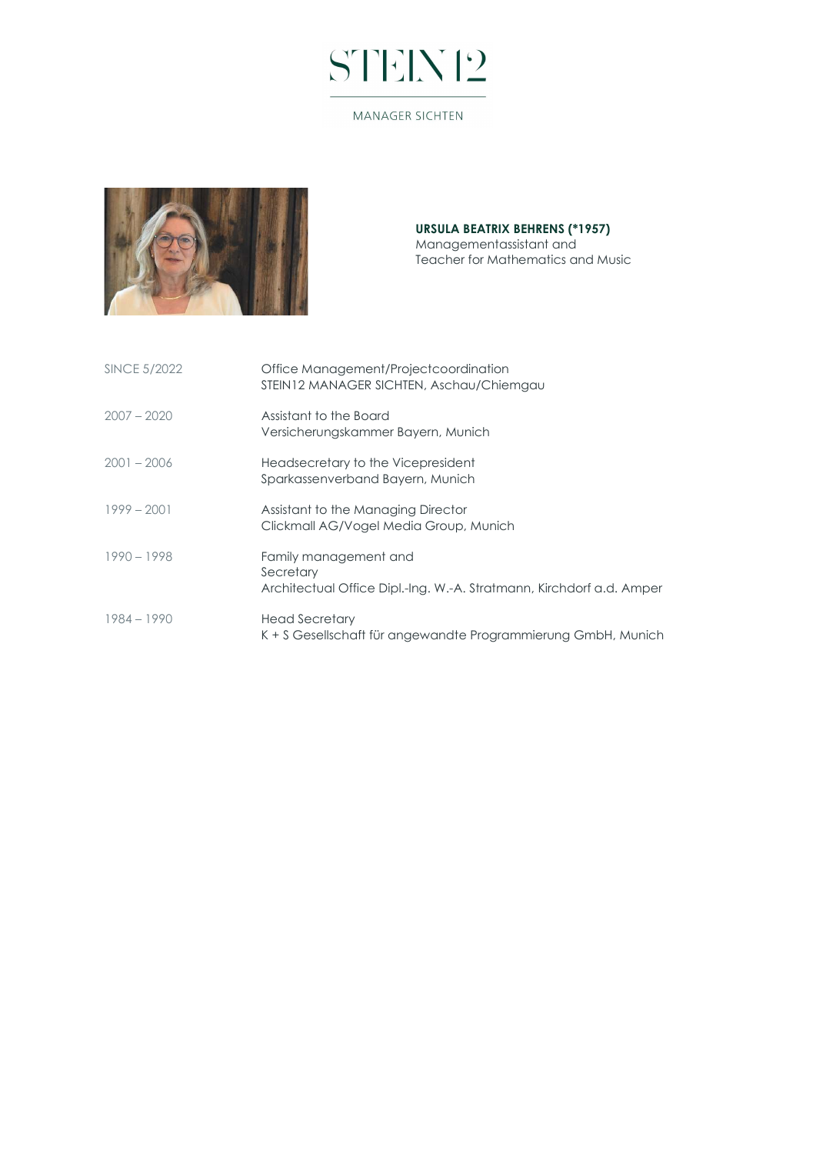# STEN12

#### MANAGER SICHTEN



#### URSULA BEATRIX BEHRENS (\*1957) Managementassistant and Teacher for Mathematics and Music

| <b>SINCE 5/2022</b> | Office Management/Projectcoordination<br>STEIN12 MANAGER SICHTEN, Aschau/Chiemgau                          |
|---------------------|------------------------------------------------------------------------------------------------------------|
| $2007 - 2020$       | Assistant to the Board<br>Versicherungskammer Bayern, Munich                                               |
| $2001 - 2006$       | Headsecretary to the Vicepresident<br>Sparkassenverband Bayern, Munich                                     |
| $1999 - 2001$       | Assistant to the Managing Director<br>Clickmall AG/Vogel Media Group, Munich                               |
| $1990 - 1998$       | Family management and<br>Secretary<br>Architectual Office Dipl.-Ing. W.-A. Stratmann, Kirchdorf a.d. Amper |
| $1984 - 1990$       | Head Secretary<br>K + S Gesellschaft für angewandte Programmierung GmbH, Munich                            |